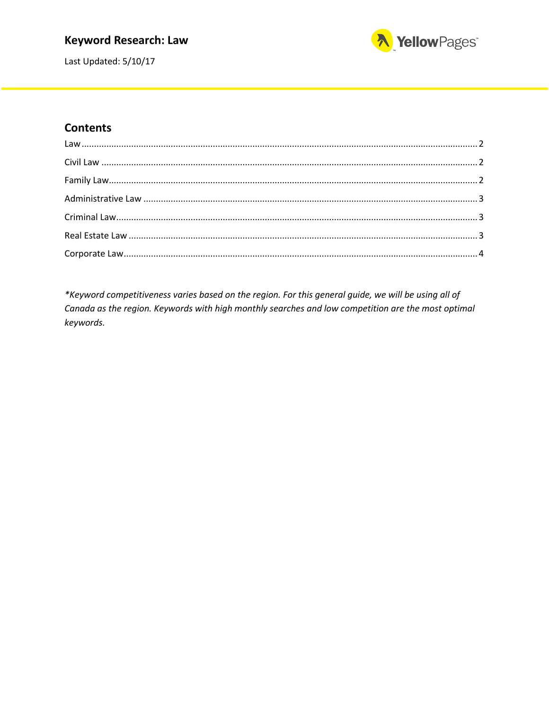### **Keyword Research: Law**



Last Updated: 5/10/17

#### **Contents**

\*Keyword competitiveness varies based on the region. For this general guide, we will be using all of Canada as the region. Keywords with high monthly searches and low competition are the most optimal keywords.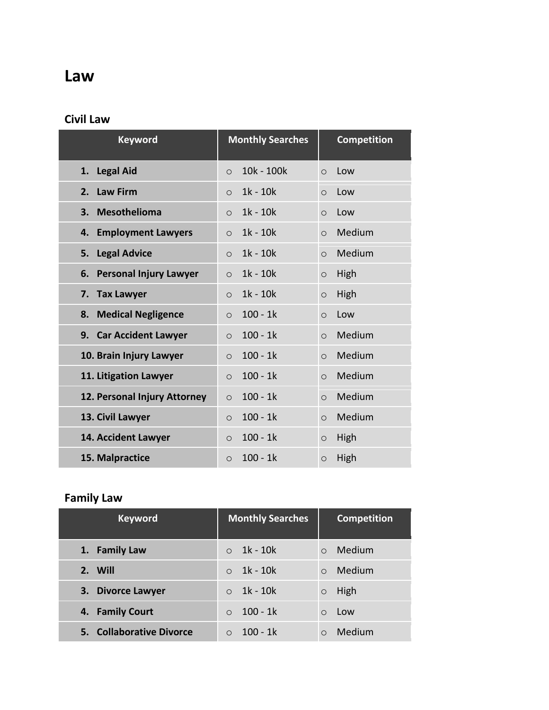# <span id="page-1-0"></span>**Law**

### <span id="page-1-1"></span>**Civil Law**

| <b>Keyword</b>                | <b>Monthly Searches</b> | <b>Competition</b> |
|-------------------------------|-------------------------|--------------------|
| <b>Legal Aid</b>              | 10k - 100k              | Low                |
| 1.                            | $\circ$                 | $\circ$            |
| <b>Law Firm</b>               | $1k - 10k$              | Low                |
| 2.                            | $\circ$                 | $\circ$            |
| <b>Mesothelioma</b>           | $1k - 10k$              | Low                |
| 3.                            | $\circ$                 | $\circ$            |
| <b>Employment Lawyers</b>     | $1k - 10k$              | Medium             |
| 4.                            | $\circ$                 | $\circ$            |
| <b>Legal Advice</b>           | $1k - 10k$              | Medium             |
| 5.                            | $\circ$                 | $\circ$            |
| <b>Personal Injury Lawyer</b> | $1k - 10k$              | High               |
| 6.                            | $\circ$                 | $\circ$            |
| <b>Tax Lawyer</b>             | $1k - 10k$              | High               |
| 7.                            | $\circ$                 | $\circ$            |
| <b>Medical Negligence</b>     | $100 - 1k$              | Low                |
| 8.                            | $\circ$                 | $\circ$            |
| 9. Car Accident Lawyer        | $100 - 1k$<br>$\circ$   | Medium<br>$\circ$  |
| 10. Brain Injury Lawyer       | $100 - 1k$<br>$\circ$   | Medium<br>$\circ$  |
| 11. Litigation Lawyer         | $100 - 1k$<br>$\circ$   | Medium<br>$\circ$  |
| 12. Personal Injury Attorney  | $100 - 1k$<br>$\circ$   | Medium<br>$\circ$  |
| 13. Civil Lawyer              | $100 - 1k$<br>$\circ$   | Medium<br>$\circ$  |
| 14. Accident Lawyer           | $100 - 1k$<br>$\circ$   | High<br>$\circ$    |
| 15. Malpractice               | $100 - 1k$<br>$\circ$   | High<br>$\circ$    |

## <span id="page-1-2"></span>**Family Law**

| <b>Keyword</b>           | <b>Monthly Searches</b> | <b>Competition</b> |
|--------------------------|-------------------------|--------------------|
| 1. Family Law            | 1k - 10k                | Medium<br>$\Omega$ |
| 2. Will                  | 1k - 10k<br>$\bigcap$   | Medium<br>$\Omega$ |
| 3. Divorce Lawyer        | $1k - 10k$              | High<br>$\circ$    |
| 4. Family Court          | $100 - 1k$<br>$\Omega$  | Low<br>$\bigcirc$  |
| 5. Collaborative Divorce | $100 - 1k$              | Medium             |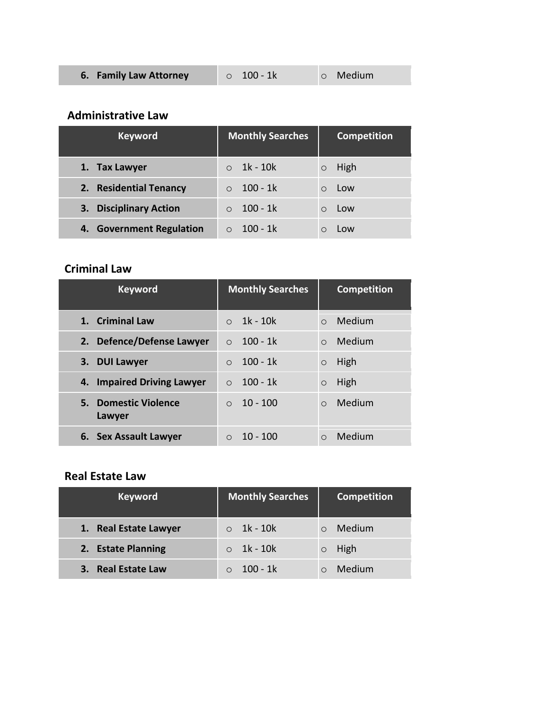<span id="page-2-0"></span>

| 6. Family Law Attorney | $\circ$ 100 - 1k | <b>O</b> Medium |
|------------------------|------------------|-----------------|
|------------------------|------------------|-----------------|

#### **Administrative Law**

| <b>Keyword</b>                   | <b>Monthly Searches</b> | <b>Competition</b> |
|----------------------------------|-------------------------|--------------------|
| 1. Tax Lawyer                    | 1k - 10k                | High<br>$\circ$    |
| 2. Residential Tenancy           | $100 - 1k$              | Low<br>∩           |
| <b>Disciplinary Action</b><br>3. | $100 - 1k$              | Low<br>∩           |
| 4. Government Regulation         | 100 - 1k                | Low                |

### <span id="page-2-1"></span>**Criminal Law**

| <b>Keyword</b>                 | <b>Monthly Searches</b> | <b>Competition</b>  |
|--------------------------------|-------------------------|---------------------|
| 1. Criminal Law                | $1k - 10k$              | Medium<br>$\Omega$  |
| 2. Defence/Defense Lawyer      | $100 - 1k$<br>$\Omega$  | Medium<br>$\Omega$  |
| 3. DUI Lawyer                  | $100 - 1k$<br>$\Omega$  | High<br>$\circ$     |
| 4. Impaired Driving Lawyer     | $100 - 1k$<br>$\Omega$  | High<br>$\circ$     |
| 5. Domestic Violence<br>Lawyer | $10 - 100$<br>$\bigcap$ | Medium<br>$\Omega$  |
| 6. Sex Assault Lawyer          | $10 - 100$              | Medium<br>$\bigcap$ |

### <span id="page-2-2"></span>**Real Estate Law**

| <b>Keyword</b>        | <b>Monthly Searches</b> | <b>Competition</b> |
|-----------------------|-------------------------|--------------------|
| 1. Real Estate Lawyer | 1k - 10k                | Medium             |
| 2. Estate Planning    | $\circ$ 1k - 10k        | High               |
| 3. Real Estate Law    | - 100 - 1k              | Medium             |